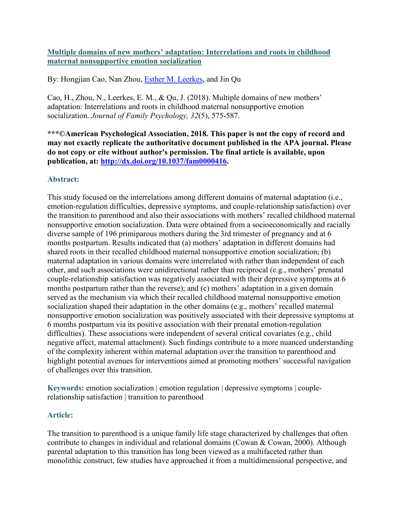**Multiple domains of new mothers' adaptation: Interrelations and roots in childhood maternal nonsupportive emotion socialization**

By: Hongjian Cao, Nan Zhou, *Esther M. Leerkes*, and Jin Qu

Cao, H., Zhou, N., Leerkes, E. M., & Qu, J. (2018). Multiple domains of new mothers' adaptation: Interrelations and roots in childhood maternal nonsupportive emotion socialization. *Journal of Family Psychology, 32*(5), 575-587.

**\*\*\*©American Psychological Association, 2018. This paper is not the copy of record and may not exactly replicate the authoritative document published in the APA journal. Please do not copy or cite without author's permission. The final article is available, upon publication, at: [http://dx.doi.org/10.1037/fam0000416.](http://dx.doi.org/10.1037/fam0000416)**

## **Abstract:**

This study focused on the interrelations among different domains of maternal adaptation (i.e., emotion-regulation difficulties, depressive symptoms, and couple-relationship satisfaction) over the transition to parenthood and also their associations with mothers' recalled childhood maternal nonsupportive emotion socialization. Data were obtained from a socioeconomically and racially diverse sample of 196 primiparous mothers during the 3rd trimester of pregnancy and at 6 months postpartum. Results indicated that (a) mothers' adaptation in different domains had shared roots in their recalled childhood maternal nonsupportive emotion socialization; (b) maternal adaptation in various domains were interrelated with rather than independent of each other, and such associations were unidirectional rather than reciprocal (e.g., mothers' prenatal couple-relationship satisfaction was negatively associated with their depressive symptoms at 6 months postpartum rather than the reverse); and (c) mothers' adaptation in a given domain served as the mechanism via which their recalled childhood maternal nonsupportive emotion socialization shaped their adaptation in the other domains (e.g., mothers' recalled maternal nonsupportive emotion socialization was positively associated with their depressive symptoms at 6 months postpartum via its positive association with their prenatal emotion-regulation difficulties). These associations were independent of several critical covariates (e.g., child negative affect, maternal attachment). Such findings contribute to a more nuanced understanding of the complexity inherent within maternal adaptation over the transition to parenthood and highlight potential avenues for interventions aimed at promoting mothers' successful navigation of challenges over this transition.

**Keywords:** emotion socialization | emotion regulation | depressive symptoms | couplerelationship satisfaction | transition to parenthood

## **Article:**

The transition to parenthood is a unique family life stage characterized by challenges that often contribute to changes in individual and relational domains (Cowan & Cowan, 2000). Although parental adaptation to this transition has long been viewed as a multifaceted rather than monolithic construct, few studies have approached it from a multidimensional perspective, and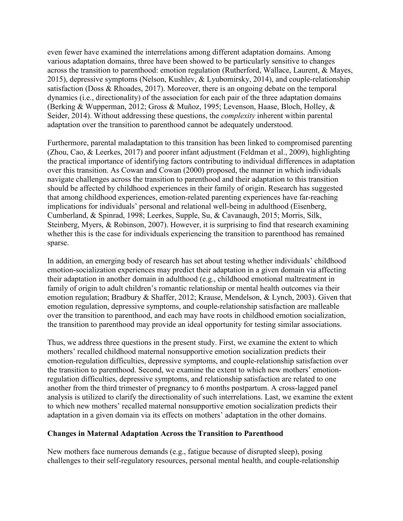even fewer have examined the interrelations among different adaptation domains. Among various adaptation domains, three have been showed to be particularly sensitive to changes across the transition to parenthood: emotion regulation (Rutherford, Wallace, Laurent, & Mayes, 2015), depressive symptoms (Nelson, Kushlev, & Lyubomirsky, 2014), and couple-relationship satisfaction (Doss & Rhoades, 2017). Moreover, there is an ongoing debate on the temporal dynamics (i.e., directionality) of the association for each pair of the three adaptation domains (Berking & Wupperman, 2012; Gross & Muñoz, 1995; Levenson, Haase, Bloch, Holley, & Seider, 2014). Without addressing these questions, the *complexity* inherent within parental adaptation over the transition to parenthood cannot be adequately understood.

Furthermore, parental maladaptation to this transition has been linked to compromised parenting (Zhou, Cao, & Leerkes, 2017) and poorer infant adjustment (Feldman et al., 2009), highlighting the practical importance of identifying factors contributing to individual differences in adaptation over this transition. As Cowan and Cowan (2000) proposed, the manner in which individuals navigate challenges across the transition to parenthood and their adaptation to this transition should be affected by childhood experiences in their family of origin. Research has suggested that among childhood experiences, emotion-related parenting experiences have far-reaching implications for individuals' personal and relational well-being in adulthood (Eisenberg, Cumberland, & Spinrad, 1998; Leerkes, Supple, Su, & Cavanaugh, 2015; Morris, Silk, Steinberg, Myers, & Robinson, 2007). However, it is surprising to find that research examining whether this is the case for individuals experiencing the transition to parenthood has remained sparse.

In addition, an emerging body of research has set about testing whether individuals' childhood emotion-socialization experiences may predict their adaptation in a given domain via affecting their adaptation in another domain in adulthood (e.g., childhood emotional maltreatment in family of origin to adult children's romantic relationship or mental health outcomes via their emotion regulation; Bradbury & Shaffer, 2012; Krause, Mendelson, & Lynch, 2003). Given that emotion regulation, depressive symptoms, and couple-relationship satisfaction are malleable over the transition to parenthood, and each may have roots in childhood emotion socialization, the transition to parenthood may provide an ideal opportunity for testing similar associations.

Thus, we address three questions in the present study. First, we examine the extent to which mothers' recalled childhood maternal nonsupportive emotion socialization predicts their emotion-regulation difficulties, depressive symptoms, and couple-relationship satisfaction over the transition to parenthood. Second, we examine the extent to which new mothers' emotionregulation difficulties, depressive symptoms, and relationship satisfaction are related to one another from the third trimester of pregnancy to 6 months postpartum. A cross-lagged panel analysis is utilized to clarify the directionality of such interrelations. Last, we examine the extent to which new mothers' recalled maternal nonsupportive emotion socialization predicts their adaptation in a given domain via its effects on mothers' adaptation in the other domains.

## **Changes in Maternal Adaptation Across the Transition to Parenthood**

New mothers face numerous demands (e.g., fatigue because of disrupted sleep), posing challenges to their self-regulatory resources, personal mental health, and couple-relationship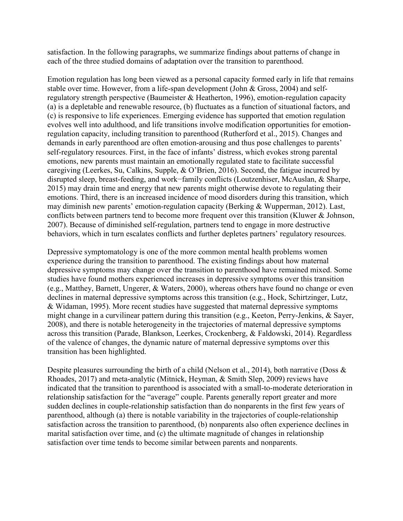satisfaction. In the following paragraphs, we summarize findings about patterns of change in each of the three studied domains of adaptation over the transition to parenthood.

Emotion regulation has long been viewed as a personal capacity formed early in life that remains stable over time. However, from a life-span development (John & Gross, 2004) and selfregulatory strength perspective (Baumeister & Heatherton, 1996), emotion-regulation capacity (a) is a depletable and renewable resource, (b) fluctuates as a function of situational factors, and (c) is responsive to life experiences. Emerging evidence has supported that emotion regulation evolves well into adulthood, and life transitions involve modification opportunities for emotionregulation capacity, including transition to parenthood (Rutherford et al., 2015). Changes and demands in early parenthood are often emotion-arousing and thus pose challenges to parents' self-regulatory resources. First, in the face of infants' distress, which evokes strong parental emotions, new parents must maintain an emotionally regulated state to facilitate successful caregiving (Leerkes, Su, Calkins, Supple, & O'Brien, 2016). Second, the fatigue incurred by disrupted sleep, breast-feeding, and work−family conflicts (Loutzenhiser, McAuslan, & Sharpe, 2015) may drain time and energy that new parents might otherwise devote to regulating their emotions. Third, there is an increased incidence of mood disorders during this transition, which may diminish new parents' emotion-regulation capacity (Berking & Wupperman, 2012). Last, conflicts between partners tend to become more frequent over this transition (Kluwer & Johnson, 2007). Because of diminished self-regulation, partners tend to engage in more destructive behaviors, which in turn escalates conflicts and further depletes partners' regulatory resources.

Depressive symptomatology is one of the more common mental health problems women experience during the transition to parenthood. The existing findings about how maternal depressive symptoms may change over the transition to parenthood have remained mixed. Some studies have found mothers experienced increases in depressive symptoms over this transition (e.g., Matthey, Barnett, Ungerer, & Waters, 2000), whereas others have found no change or even declines in maternal depressive symptoms across this transition (e.g., Hock, Schirtzinger, Lutz, & Widaman, 1995). More recent studies have suggested that maternal depressive symptoms might change in a curvilinear pattern during this transition (e.g., Keeton, Perry-Jenkins, & Sayer, 2008), and there is notable heterogeneity in the trajectories of maternal depressive symptoms across this transition (Parade, Blankson, Leerkes, Crockenberg, & Faldowski, 2014). Regardless of the valence of changes, the dynamic nature of maternal depressive symptoms over this transition has been highlighted.

Despite pleasures surrounding the birth of a child (Nelson et al., 2014), both narrative (Doss  $\&$ Rhoades, 2017) and meta-analytic (Mitnick, Heyman, & Smith Slep, 2009) reviews have indicated that the transition to parenthood is associated with a small-to-moderate deterioration in relationship satisfaction for the "average" couple. Parents generally report greater and more sudden declines in couple-relationship satisfaction than do nonparents in the first few years of parenthood, although (a) there is notable variability in the trajectories of couple-relationship satisfaction across the transition to parenthood, (b) nonparents also often experience declines in marital satisfaction over time, and (c) the ultimate magnitude of changes in relationship satisfaction over time tends to become similar between parents and nonparents.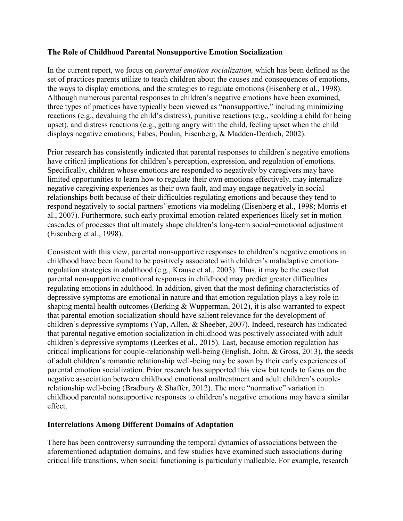## **The Role of Childhood Parental Nonsupportive Emotion Socialization**

In the current report, we focus on *parental emotion socialization,* which has been defined as the set of practices parents utilize to teach children about the causes and consequences of emotions, the ways to display emotions, and the strategies to regulate emotions (Eisenberg et al., 1998). Although numerous parental responses to children's negative emotions have been examined, three types of practices have typically been viewed as "nonsupportive," including minimizing reactions (e.g., devaluing the child's distress), punitive reactions (e.g., scolding a child for being upset), and distress reactions (e.g., getting angry with the child, feeling upset when the child displays negative emotions; Fabes, Poulin, Eisenberg, & Madden-Derdich, 2002).

Prior research has consistently indicated that parental responses to children's negative emotions have critical implications for children's perception, expression, and regulation of emotions. Specifically, children whose emotions are responded to negatively by caregivers may have limited opportunities to learn how to regulate their own emotions effectively, may internalize negative caregiving experiences as their own fault, and may engage negatively in social relationships both because of their difficulties regulating emotions and because they tend to respond negatively to social partners' emotions via modeling (Eisenberg et al., 1998; Morris et al., 2007). Furthermore, such early proximal emotion-related experiences likely set in motion cascades of processes that ultimately shape children's long-term social−emotional adjustment (Eisenberg et al., 1998).

Consistent with this view, parental nonsupportive responses to children's negative emotions in childhood have been found to be positively associated with children's maladaptive emotionregulation strategies in adulthood (e.g., Krause et al., 2003). Thus, it may be the case that parental nonsupportive emotional responses in childhood may predict greater difficulties regulating emotions in adulthood. In addition, given that the most defining characteristics of depressive symptoms are emotional in nature and that emotion regulation plays a key role in shaping mental health outcomes (Berking & Wupperman, 2012), it is also warranted to expect that parental emotion socialization should have salient relevance for the development of children's depressive symptoms (Yap, Allen, & Sheeber, 2007). Indeed, research has indicated that parental negative emotion socialization in childhood was positively associated with adult children's depressive symptoms (Leerkes et al., 2015). Last, because emotion regulation has critical implications for couple-relationship well-being (English, John, & Gross, 2013), the seeds of adult children's romantic relationship well-being may be sown by their early experiences of parental emotion socialization. Prior research has supported this view but tends to focus on the negative association between childhood emotional maltreatment and adult children's couplerelationship well-being (Bradbury & Shaffer, 2012). The more "normative" variation in childhood parental nonsupportive responses to children's negative emotions may have a similar effect.

## **Interrelations Among Different Domains of Adaptation**

There has been controversy surrounding the temporal dynamics of associations between the aforementioned adaptation domains, and few studies have examined such associations during critical life transitions, when social functioning is particularly malleable. For example, research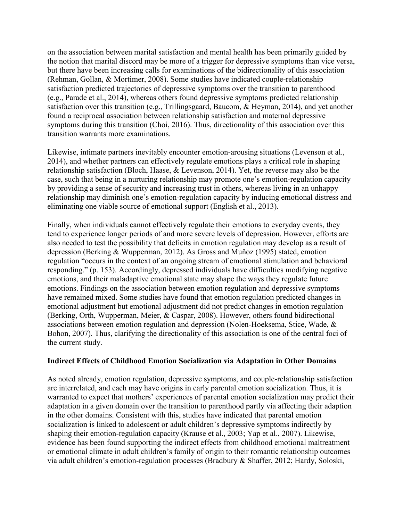on the association between marital satisfaction and mental health has been primarily guided by the notion that marital discord may be more of a trigger for depressive symptoms than vice versa, but there have been increasing calls for examinations of the bidirectionality of this association (Rehman, Gollan, & Mortimer, 2008). Some studies have indicated couple-relationship satisfaction predicted trajectories of depressive symptoms over the transition to parenthood (e.g., Parade et al., 2014), whereas others found depressive symptoms predicted relationship satisfaction over this transition (e.g., Trillingsgaard, Baucom, & Heyman, 2014), and yet another found a reciprocal association between relationship satisfaction and maternal depressive symptoms during this transition (Choi, 2016). Thus, directionality of this association over this transition warrants more examinations.

Likewise, intimate partners inevitably encounter emotion-arousing situations (Levenson et al., 2014), and whether partners can effectively regulate emotions plays a critical role in shaping relationship satisfaction (Bloch, Haase, & Levenson, 2014). Yet, the reverse may also be the case, such that being in a nurturing relationship may promote one's emotion-regulation capacity by providing a sense of security and increasing trust in others, whereas living in an unhappy relationship may diminish one's emotion-regulation capacity by inducing emotional distress and eliminating one viable source of emotional support (English et al., 2013).

Finally, when individuals cannot effectively regulate their emotions to everyday events, they tend to experience longer periods of and more severe levels of depression. However, efforts are also needed to test the possibility that deficits in emotion regulation may develop as a result of depression (Berking & Wupperman, 2012). As Gross and Muñoz (1995) stated, emotion regulation "occurs in the context of an ongoing stream of emotional stimulation and behavioral responding." (p. 153). Accordingly, depressed individuals have difficulties modifying negative emotions, and their maladaptive emotional state may shape the ways they regulate future emotions. Findings on the association between emotion regulation and depressive symptoms have remained mixed. Some studies have found that emotion regulation predicted changes in emotional adjustment but emotional adjustment did not predict changes in emotion regulation (Berking, Orth, Wupperman, Meier, & Caspar, 2008). However, others found bidirectional associations between emotion regulation and depression (Nolen-Hoeksema, Stice, Wade, & Bohon, 2007). Thus, clarifying the directionality of this association is one of the central foci of the current study.

## **Indirect Effects of Childhood Emotion Socialization via Adaptation in Other Domains**

As noted already, emotion regulation, depressive symptoms, and couple-relationship satisfaction are interrelated, and each may have origins in early parental emotion socialization. Thus, it is warranted to expect that mothers' experiences of parental emotion socialization may predict their adaptation in a given domain over the transition to parenthood partly via affecting their adaption in the other domains. Consistent with this, studies have indicated that parental emotion socialization is linked to adolescent or adult children's depressive symptoms indirectly by shaping their emotion-regulation capacity (Krause et al., 2003; Yap et al., 2007). Likewise, evidence has been found supporting the indirect effects from childhood emotional maltreatment or emotional climate in adult children's family of origin to their romantic relationship outcomes via adult children's emotion-regulation processes (Bradbury & Shaffer, 2012; Hardy, Soloski,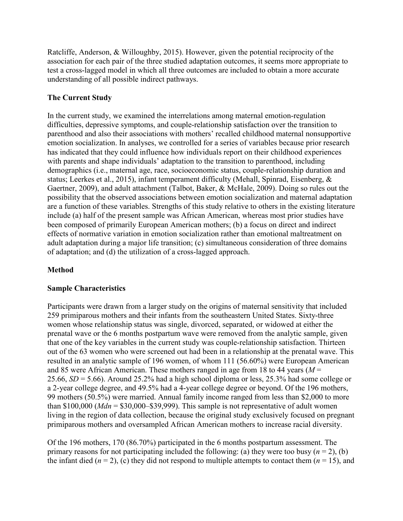Ratcliffe, Anderson, & Willoughby, 2015). However, given the potential reciprocity of the association for each pair of the three studied adaptation outcomes, it seems more appropriate to test a cross-lagged model in which all three outcomes are included to obtain a more accurate understanding of all possible indirect pathways.

# **The Current Study**

In the current study, we examined the interrelations among maternal emotion-regulation difficulties, depressive symptoms, and couple-relationship satisfaction over the transition to parenthood and also their associations with mothers' recalled childhood maternal nonsupportive emotion socialization. In analyses, we controlled for a series of variables because prior research has indicated that they could influence how individuals report on their childhood experiences with parents and shape individuals' adaptation to the transition to parenthood, including demographics (i.e., maternal age, race, socioeconomic status, couple-relationship duration and status; Leerkes et al., 2015), infant temperament difficulty (Mehall, Spinrad, Eisenberg, & Gaertner, 2009), and adult attachment (Talbot, Baker, & McHale, 2009). Doing so rules out the possibility that the observed associations between emotion socialization and maternal adaptation are a function of these variables. Strengths of this study relative to others in the existing literature include (a) half of the present sample was African American, whereas most prior studies have been composed of primarily European American mothers; (b) a focus on direct and indirect effects of normative variation in emotion socialization rather than emotional maltreatment on adult adaptation during a major life transition; (c) simultaneous consideration of three domains of adaptation; and (d) the utilization of a cross-lagged approach.

# **Method**

# **Sample Characteristics**

Participants were drawn from a larger study on the origins of maternal sensitivity that included 259 primiparous mothers and their infants from the southeastern United States. Sixty-three women whose relationship status was single, divorced, separated, or widowed at either the prenatal wave or the 6 months postpartum wave were removed from the analytic sample, given that one of the key variables in the current study was couple-relationship satisfaction. Thirteen out of the 63 women who were screened out had been in a relationship at the prenatal wave. This resulted in an analytic sample of 196 women, of whom 111 (56.60%) were European American and 85 were African American. These mothers ranged in age from 18 to 44 years (*M* = 25.66, *SD* = 5.66). Around 25.2% had a high school diploma or less, 25.3% had some college or a 2-year college degree, and 49.5% had a 4-year college degree or beyond. Of the 196 mothers, 99 mothers (50.5%) were married. Annual family income ranged from less than \$2,000 to more than  $$100,000$  (*Mdn* =  $$30,000$ - $$39,999$ ). This sample is not representative of adult women living in the region of data collection, because the original study exclusively focused on pregnant primiparous mothers and oversampled African American mothers to increase racial diversity.

Of the 196 mothers, 170 (86.70%) participated in the 6 months postpartum assessment. The primary reasons for not participating included the following: (a) they were too busy ( $n = 2$ ), (b) the infant died ( $n = 2$ ), (c) they did not respond to multiple attempts to contact them ( $n = 15$ ), and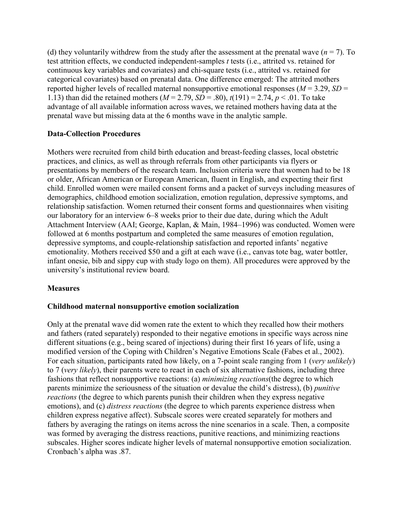(d) they voluntarily withdrew from the study after the assessment at the prenatal wave  $(n = 7)$ . To test attrition effects, we conducted independent-samples *t* tests (i.e., attrited vs. retained for continuous key variables and covariates) and chi-square tests (i.e., attrited vs. retained for categorical covariates) based on prenatal data. One difference emerged: The attrited mothers reported higher levels of recalled maternal nonsupportive emotional responses ( $M = 3.29$ ,  $SD =$ 1.13) than did the retained mothers (*M* = 2.79, *SD* = .80), *t*(191) = 2.74, *p* < .01. To take advantage of all available information across waves, we retained mothers having data at the prenatal wave but missing data at the 6 months wave in the analytic sample.

## **Data-Collection Procedures**

Mothers were recruited from child birth education and breast-feeding classes, local obstetric practices, and clinics, as well as through referrals from other participants via flyers or presentations by members of the research team. Inclusion criteria were that women had to be 18 or older, African American or European American, fluent in English, and expecting their first child. Enrolled women were mailed consent forms and a packet of surveys including measures of demographics, childhood emotion socialization, emotion regulation, depressive symptoms, and relationship satisfaction. Women returned their consent forms and questionnaires when visiting our laboratory for an interview 6–8 weeks prior to their due date, during which the Adult Attachment Interview (AAI; George, Kaplan, & Main, 1984–1996) was conducted. Women were followed at 6 months postpartum and completed the same measures of emotion regulation, depressive symptoms, and couple-relationship satisfaction and reported infants' negative emotionality. Mothers received \$50 and a gift at each wave (i.e., canvas tote bag, water bottler, infant onesie, bib and sippy cup with study logo on them). All procedures were approved by the university's institutional review board.

# **Measures**

## **Childhood maternal nonsupportive emotion socialization**

Only at the prenatal wave did women rate the extent to which they recalled how their mothers and fathers (rated separately) responded to their negative emotions in specific ways across nine different situations (e.g., being scared of injections) during their first 16 years of life, using a modified version of the Coping with Children's Negative Emotions Scale (Fabes et al., 2002). For each situation, participants rated how likely, on a 7-point scale ranging from 1 (*very unlikely*) to 7 (*very likely*), their parents were to react in each of six alternative fashions, including three fashions that reflect nonsupportive reactions: (a) *minimizing reactions*(the degree to which parents minimize the seriousness of the situation or devalue the child's distress), (b) *punitive reactions* (the degree to which parents punish their children when they express negative emotions), and (c) *distress reactions* (the degree to which parents experience distress when children express negative affect). Subscale scores were created separately for mothers and fathers by averaging the ratings on items across the nine scenarios in a scale. Then, a composite was formed by averaging the distress reactions, punitive reactions, and minimizing reactions subscales. Higher scores indicate higher levels of maternal nonsupportive emotion socialization. Cronbach's alpha was .87.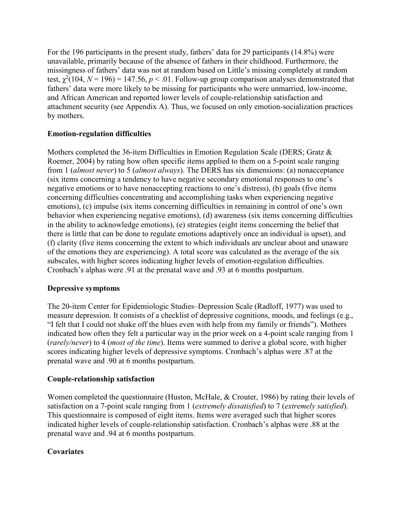For the 196 participants in the present study, fathers' data for 29 participants (14.8%) were unavailable, primarily because of the absence of fathers in their childhood. Furthermore, the missingness of fathers' data was not at random based on Little's missing completely at random test,  $\chi^2(104, N = 196) = 147.56, p < .01$ . Follow-up group comparison analyses demonstrated that fathers' data were more likely to be missing for participants who were unmarried, low-income, and African American and reported lower levels of couple-relationship satisfaction and attachment security (see Appendix A). Thus, we focused on only emotion-socialization practices by mothers.

# **Emotion-regulation difficulties**

Mothers completed the 36-item Difficulties in Emotion Regulation Scale (DERS; Gratz & Roemer, 2004) by rating how often specific items applied to them on a 5-point scale ranging from 1 (*almost never*) to 5 (*almost always*). The DERS has six dimensions: (a) nonacceptance (six items concerning a tendency to have negative secondary emotional responses to one's negative emotions or to have nonaccepting reactions to one's distress), (b) goals (five items concerning difficulties concentrating and accomplishing tasks when experiencing negative emotions), (c) impulse (six items concerning difficulties in remaining in control of one's own behavior when experiencing negative emotions), (d) awareness (six items concerning difficulties in the ability to acknowledge emotions), (e) strategies (eight items concerning the belief that there is little that can be done to regulate emotions adaptively once an individual is upset), and (f) clarity (five items concerning the extent to which individuals are unclear about and unaware of the emotions they are experiencing). A total score was calculated as the average of the six subscales, with higher scores indicating higher levels of emotion-regulation difficulties. Cronbach's alphas were .91 at the prenatal wave and .93 at 6 months postpartum.

## **Depressive symptoms**

The 20-item Center for Epidemiologic Studies–Depression Scale (Radloff, 1977) was used to measure depression. It consists of a checklist of depressive cognitions, moods, and feelings (e.g., "I felt that I could not shake off the blues even with help from my family or friends"). Mothers indicated how often they felt a particular way in the prior week on a 4-point scale ranging from 1 (*rarely/never*) to 4 (*most of the time*). Items were summed to derive a global score, with higher scores indicating higher levels of depressive symptoms. Cronbach's alphas were .87 at the prenatal wave and .90 at 6 months postpartum.

# **Couple-relationship satisfaction**

Women completed the questionnaire (Huston, McHale, & Crouter, 1986) by rating their levels of satisfaction on a 7-point scale ranging from 1 (*extremely dissatisfied*) to 7 (*extremely satisfied*). This questionnaire is composed of eight items. Items were averaged such that higher scores indicated higher levels of couple-relationship satisfaction. Cronbach's alphas were .88 at the prenatal wave and .94 at 6 months postpartum.

# **Covariates**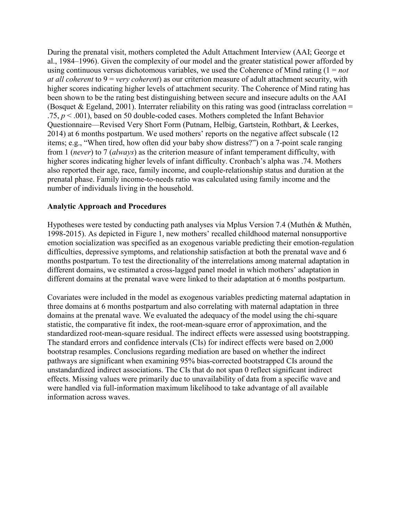During the prenatal visit, mothers completed the Adult Attachment Interview (AAI; George et al., 1984–1996). Given the complexity of our model and the greater statistical power afforded by using continuous versus dichotomous variables, we used the Coherence of Mind rating (1 = *not at all coherent* to 9 = *very coherent*) as our criterion measure of adult attachment security, with higher scores indicating higher levels of attachment security. The Coherence of Mind rating has been shown to be the rating best distinguishing between secure and insecure adults on the AAI (Bosquet & Egeland, 2001). Interrater reliability on this rating was good (intraclass correlation  $=$ .75, *p* < .001), based on 50 double-coded cases. Mothers completed the Infant Behavior Questionnaire—Revised Very Short Form (Putnam, Helbig, Gartstein, Rothbart, & Leerkes, 2014) at 6 months postpartum. We used mothers' reports on the negative affect subscale (12 items; e.g., "When tired, how often did your baby show distress?") on a 7-point scale ranging from 1 (*never*) to 7 (*always*) as the criterion measure of infant temperament difficulty, with higher scores indicating higher levels of infant difficulty. Cronbach's alpha was .74. Mothers also reported their age, race, family income, and couple-relationship status and duration at the prenatal phase. Family income-to-needs ratio was calculated using family income and the number of individuals living in the household.

## **Analytic Approach and Procedures**

Hypotheses were tested by conducting path analyses via Mplus Version 7.4 (Muthén & Muthén, 1998-2015). As depicted in Figure 1, new mothers' recalled childhood maternal nonsupportive emotion socialization was specified as an exogenous variable predicting their emotion-regulation difficulties, depressive symptoms, and relationship satisfaction at both the prenatal wave and 6 months postpartum. To test the directionality of the interrelations among maternal adaptation in different domains, we estimated a cross-lagged panel model in which mothers' adaptation in different domains at the prenatal wave were linked to their adaptation at 6 months postpartum.

Covariates were included in the model as exogenous variables predicting maternal adaptation in three domains at 6 months postpartum and also correlating with maternal adaptation in three domains at the prenatal wave. We evaluated the adequacy of the model using the chi-square statistic, the comparative fit index, the root-mean-square error of approximation, and the standardized root-mean-square residual. The indirect effects were assessed using bootstrapping. The standard errors and confidence intervals (CIs) for indirect effects were based on 2,000 bootstrap resamples. Conclusions regarding mediation are based on whether the indirect pathways are significant when examining 95% bias-corrected bootstrapped CIs around the unstandardized indirect associations. The CIs that do not span 0 reflect significant indirect effects. Missing values were primarily due to unavailability of data from a specific wave and were handled via full-information maximum likelihood to take advantage of all available information across waves.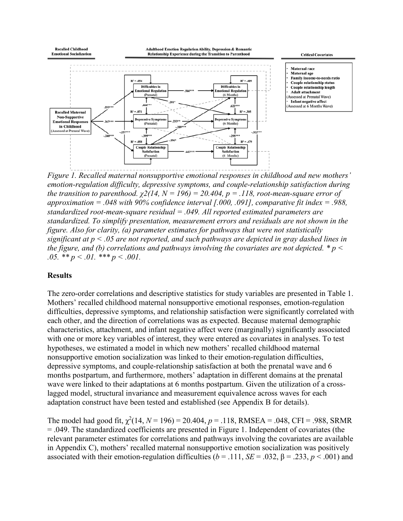

*Figure 1. Recalled maternal nonsupportive emotional responses in childhood and new mothers' emotion-regulation difficulty, depressive symptoms, and couple-relationship satisfaction during the transition to parenthood.*  $\chi$ 2(14, N = 196) = 20.404, p = .118, root-mean-square error of *approximation = .048 with 90% confidence interval [.000, .091], comparative fit index = .988, standardized root-mean-square residual = .049. All reported estimated parameters are standardized. To simplify presentation, measurement errors and residuals are not shown in the figure. Also for clarity, (a) parameter estimates for pathways that were not statistically significant at p < .05 are not reported, and such pathways are depicted in gray dashed lines in the figure, and (b) correlations and pathways involving the covariates are not depicted. \* p < .05. \*\* p < .01. \*\*\* p < .001.*

## **Results**

The zero-order correlations and descriptive statistics for study variables are presented in Table 1. Mothers' recalled childhood maternal nonsupportive emotional responses, emotion-regulation difficulties, depressive symptoms, and relationship satisfaction were significantly correlated with each other, and the direction of correlations was as expected. Because maternal demographic characteristics, attachment, and infant negative affect were (marginally) significantly associated with one or more key variables of interest, they were entered as covariates in analyses. To test hypotheses, we estimated a model in which new mothers' recalled childhood maternal nonsupportive emotion socialization was linked to their emotion-regulation difficulties, depressive symptoms, and couple-relationship satisfaction at both the prenatal wave and 6 months postpartum, and furthermore, mothers' adaptation in different domains at the prenatal wave were linked to their adaptations at 6 months postpartum. Given the utilization of a crosslagged model, structural invariance and measurement equivalence across waves for each adaptation construct have been tested and established (see Appendix B for details).

The model had good fit,  $\chi^2(14, N = 196) = 20.404, p = .118$ , RMSEA = .048, CFI = .988, SRMR = .049. The standardized coefficients are presented in Figure 1. Independent of covariates (the relevant parameter estimates for correlations and pathways involving the covariates are available in Appendix C), mothers' recalled maternal nonsupportive emotion socialization was positively associated with their emotion-regulation difficulties ( $b = .111$ ,  $SE = .032$ ,  $\beta = .233$ ,  $p < .001$ ) and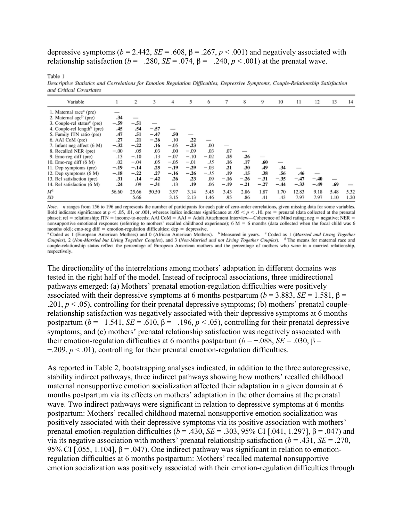depressive symptoms ( $b = 2.442$ ,  $SE = .608$ ,  $\beta = .267$ ,  $p < .001$ ) and negatively associated with relationship satisfaction ( $b = -.280$ ,  $SE = .074$ ,  $\beta = -.240$ ,  $p < .001$ ) at the prenatal wave.

Table 1

Descriptive Statistics and Correlations for Emotion Regulation Difficulties, Depressive Symptoms, Couple-Relationship Satisfaction and Critical Covariates

| Variable                                |        | $\overline{c}$ | 3      | 4                        | 5      | 6                        |        | 8      | 9      | 10                       | 11     | 12     | 13   | 14   |
|-----------------------------------------|--------|----------------|--------|--------------------------|--------|--------------------------|--------|--------|--------|--------------------------|--------|--------|------|------|
| 1. Maternal race <sup>a</sup> (pre)     |        |                |        |                          |        |                          |        |        |        |                          |        |        |      |      |
| 2. Maternal age <sup>b</sup> (pre)      | .34    | $\sim$         |        |                          |        |                          |        |        |        |                          |        |        |      |      |
| 3. Couple-rel status <sup>c</sup> (pre) | $-.59$ | $-.51$         |        |                          |        |                          |        |        |        |                          |        |        |      |      |
| 4. Couple-rel length <sup>b</sup> (pre) | .45    | .54            | $-.57$ | $\overline{\phantom{a}}$ |        |                          |        |        |        |                          |        |        |      |      |
| 5. Family ITN ratio (pre)               | .47    | .51            | $-.47$ | .50                      |        |                          |        |        |        |                          |        |        |      |      |
| 6. AAI CoM (pre)                        | .27    | .21            | $-.26$ | .10                      | .22    | $\overline{\phantom{a}}$ |        |        |        |                          |        |        |      |      |
| 7. Infant neg affect (6 M)              | $-.32$ | $-.22$         | .16    | $-.05$                   | $-.23$ | .00                      |        |        |        |                          |        |        |      |      |
| 8. Recalled NER (pre)                   | $-.00$ | .05            | .03    | .00                      | $-.09$ | .03                      | .07    | -      |        |                          |        |        |      |      |
| 9. Emo-reg diff (pre)                   | .13    | $-.10$         | .13    | $-.07$                   | $-.10$ | $-.02$                   | .15    | .26    |        |                          |        |        |      |      |
| 10. Emo-reg diff $(6 M)$                | .02    | $-.04$         | .05    | $-.05$                   | $-.01$ | .15                      | .16    | .17    | .60    | $\overline{\phantom{a}}$ |        |        |      |      |
| 11. Dep symptoms (pre)                  | $-.19$ | $-.14$         | .25    | $-.19$                   | $-.29$ | $-.03$                   | .21    | .30    | .49    | .34                      |        |        |      |      |
| 12. Dep symptoms (6 M)                  | $-.18$ | $-.22$         | .27    | $-.16$                   | $-.26$ | $-.15$                   | .19    | .15    | .38    | .56                      | .46    |        |      |      |
| 13. Rel satisfaction (pre)              | .31    | .14            | $-.42$ | .26                      | .23    | .09                      | $-.16$ | $-.26$ | $-.31$ | $-.35$                   | $-.47$ | $-.40$ |      |      |
| 14. Rel satisfaction (6 M)              | .24    | .09            | $-.31$ | .13                      | .19    | .06                      | $-.19$ | $-.21$ | $-.27$ | $-.44$                   | $-.33$ | $-.49$ | .69  |      |
| $M^{\rm d}$                             | 56.60  | 25.66          | 50.50  | 3.97                     | 3.14   | 5.45                     | 3.43   | 2.86   | 1.87   | 1.70                     | 12.83  | 9.18   | 5.48 | 5.32 |
| SD                                      |        | 5.66           |        | 3.15                     | 2.13   | 1.46                     | .95    | .86    | .41    | .43                      | 7.97   | 7.97   | 1.10 | 1.20 |

Note. n ranges from 156 to 196 and represents the number of participants for each pair of zero-order correlations, given missing data for some variables. Bold indicates significance at  $p < .05$ , 01, or .001, whereas italics indicates significance at  $.05 < p < .10$ , pre = prenatal (data collected at the prenatal phase); rel = relationship; ITN = income-to-needs; AAI CoM = AAI = nonsupportive emotional responses (referring to mothers' recalled childhood experience);  $6 M = 6$  months (data collected when the focal child was  $6$ months old); emo-reg diff = emotion-regulation difficulties;  $dep = depressive$ .

<sup>a</sup> Coded as 1 (European American Mothers) and 0 (African American Mothers). <sup>b</sup> Measured in years. <sup>e</sup> Coded as 1 (Married and Living Together Couples), 2 (Non-Married but Living Together Couples), and 3 (Non-Married and not Living Together Couples). <sup>d</sup> The means for maternal race and couple-relationship status reflect the percentage of European American mothers and the percentage of mothers who were in a married relationship, respectively.

The directionality of the interrelations among mothers' adaptation in different domains was tested in the right half of the model. Instead of reciprocal associations, three unidirectional pathways emerged: (a) Mothers' prenatal emotion-regulation difficulties were positively associated with their depressive symptoms at 6 months postpartum ( $b = 3.883$ ,  $SE = 1.581$ ,  $\beta =$ .201,  $p < .05$ ), controlling for their prenatal depressive symptoms; (b) mothers' prenatal couplerelationship satisfaction was negatively associated with their depressive symptoms at 6 months postpartum ( $b = -1.541$ ,  $SE = .610$ ,  $\beta = -.196$ ,  $p < .05$ ), controlling for their prenatal depressive symptoms; and (c) mothers' prenatal relationship satisfaction was negatively associated with their emotion-regulation difficulties at 6 months postpartum  $(b = -.088, SE = .030, \beta =$ −.209, *p* < .01), controlling for their prenatal emotion-regulation difficulties.

As reported in Table 2, bootstrapping analyses indicated, in addition to the three autoregressive, stability indirect pathways, three indirect pathways showing how mothers' recalled childhood maternal nonsupportive emotion socialization affected their adaptation in a given domain at 6 months postpartum via its effects on mothers' adaptation in the other domains at the prenatal wave. Two indirect pathways were significant in relation to depressive symptoms at 6 months postpartum: Mothers' recalled childhood maternal nonsupportive emotion socialization was positively associated with their depressive symptoms via its positive association with mothers' prenatal emotion-regulation difficulties ( $b = .430$ ,  $SE = .303$ ,  $95\%$  CI [.041, 1.297],  $\beta = .047$ ) and via its negative association with mothers' prenatal relationship satisfaction (*b* = .431, *SE* = .270, 95% CI [.055, 1.104],  $\beta$  = .047). One indirect pathway was significant in relation to emotionregulation difficulties at 6 months postpartum: Mothers' recalled maternal nonsupportive emotion socialization was positively associated with their emotion-regulation difficulties through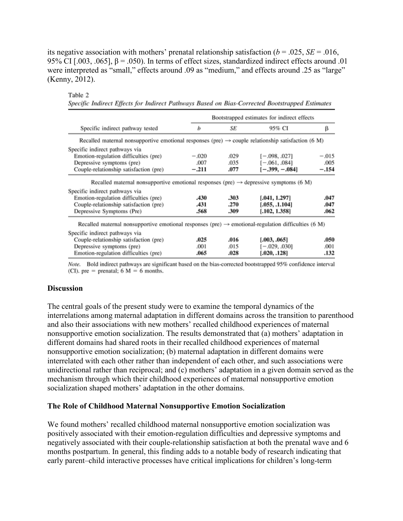its negative association with mothers' prenatal relationship satisfaction  $(b = .025, SE = .016,$ 95% CI [.003, .065],  $\beta$  = .050). In terms of effect sizes, standardized indirect effects around .01 were interpreted as "small," effects around .09 as "medium," and effects around .25 as "large" (Kenny, 2012).

|                                                                                                                 | Bootstrapped estimates for indirect effects |      |                  |         |  |  |  |
|-----------------------------------------------------------------------------------------------------------------|---------------------------------------------|------|------------------|---------|--|--|--|
| Specific indirect pathway tested                                                                                | b                                           | SE   | 95% CI           | β       |  |  |  |
| Recalled maternal nonsupportive emotional responses (pre) $\rightarrow$ couple relationship satisfaction (6 M)  |                                             |      |                  |         |  |  |  |
| Specific indirect pathways via                                                                                  |                                             |      |                  |         |  |  |  |
| Emotion-regulation difficulties (pre)                                                                           | $-.020$                                     | .029 | $[-.098, .027]$  | $-.015$ |  |  |  |
| Depressive symptoms (pre)                                                                                       | .007                                        | .035 | $[-.061, .084]$  | .005    |  |  |  |
| Couple-relationship satisfaction (pre)                                                                          | $-.211$                                     | .077 | $[-.399, -.084]$ | $-.154$ |  |  |  |
| Specific indirect pathways via<br>Emotion-regulation difficulties (pre)                                         | .430                                        | .303 | [.041, 1.297]    | .047    |  |  |  |
| Couple-relationship satisfaction (pre)                                                                          | .431                                        | .270 | [.055, .1.104]   | .047    |  |  |  |
| Depressive Symptoms (Pre)                                                                                       | .568                                        | .309 | [.102, 1.358]    | .062    |  |  |  |
| Recalled maternal nonsupportive emotional responses (pre) $\rightarrow$ emotional-regulation difficulties (6 M) |                                             |      |                  |         |  |  |  |
| Specific indirect pathways via                                                                                  |                                             |      |                  |         |  |  |  |
| Couple-relationship satisfaction (pre)                                                                          | .025                                        | .016 | [.003, .065]     | .050    |  |  |  |
| Depressive symptoms (pre)                                                                                       | .001                                        | .015 | $[-.029, .030]$  | .001    |  |  |  |
| Emotion-regulation difficulties (pre)                                                                           | .065                                        | .028 | [.020, .128]     | .132    |  |  |  |

Specific Indirect Effects for Indirect Pathways Rased on Rias Corrected Rootstranned Estimates

Note. Bold indirect pathways are significant based on the bias-corrected bootstrapped 95% confidence interval (CI). pre = prenatal;  $6 M = 6$  months.

#### **Discussion**

Table 2

The central goals of the present study were to examine the temporal dynamics of the interrelations among maternal adaptation in different domains across the transition to parenthood and also their associations with new mothers' recalled childhood experiences of maternal nonsupportive emotion socialization. The results demonstrated that (a) mothers' adaptation in different domains had shared roots in their recalled childhood experiences of maternal nonsupportive emotion socialization; (b) maternal adaptation in different domains were interrelated with each other rather than independent of each other, and such associations were unidirectional rather than reciprocal; and (c) mothers' adaptation in a given domain served as the mechanism through which their childhood experiences of maternal nonsupportive emotion socialization shaped mothers' adaptation in the other domains.

#### **The Role of Childhood Maternal Nonsupportive Emotion Socialization**

We found mothers' recalled childhood maternal nonsupportive emotion socialization was positively associated with their emotion-regulation difficulties and depressive symptoms and negatively associated with their couple-relationship satisfaction at both the prenatal wave and 6 months postpartum. In general, this finding adds to a notable body of research indicating that early parent–child interactive processes have critical implications for children's long-term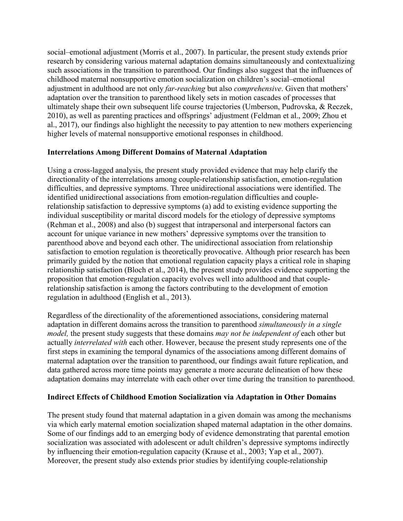social–emotional adjustment (Morris et al., 2007). In particular, the present study extends prior research by considering various maternal adaptation domains simultaneously and contextualizing such associations in the transition to parenthood. Our findings also suggest that the influences of childhood maternal nonsupportive emotion socialization on children's social–emotional adjustment in adulthood are not only *far-reaching* but also *comprehensive*. Given that mothers' adaptation over the transition to parenthood likely sets in motion cascades of processes that ultimately shape their own subsequent life course trajectories (Umberson, Pudrovska, & Reczek, 2010), as well as parenting practices and offsprings' adjustment (Feldman et al., 2009; Zhou et al., 2017), our findings also highlight the necessity to pay attention to new mothers experiencing higher levels of maternal nonsupportive emotional responses in childhood.

# **Interrelations Among Different Domains of Maternal Adaptation**

Using a cross-lagged analysis, the present study provided evidence that may help clarify the directionality of the interrelations among couple-relationship satisfaction, emotion-regulation difficulties, and depressive symptoms. Three unidirectional associations were identified. The identified unidirectional associations from emotion-regulation difficulties and couplerelationship satisfaction to depressive symptoms (a) add to existing evidence supporting the individual susceptibility or marital discord models for the etiology of depressive symptoms (Rehman et al., 2008) and also (b) suggest that intrapersonal and interpersonal factors can account for unique variance in new mothers' depressive symptoms over the transition to parenthood above and beyond each other. The unidirectional association from relationship satisfaction to emotion regulation is theoretically provocative. Although prior research has been primarily guided by the notion that emotional regulation capacity plays a critical role in shaping relationship satisfaction (Bloch et al., 2014), the present study provides evidence supporting the proposition that emotion-regulation capacity evolves well into adulthood and that couplerelationship satisfaction is among the factors contributing to the development of emotion regulation in adulthood (English et al., 2013).

Regardless of the directionality of the aforementioned associations, considering maternal adaptation in different domains across the transition to parenthood *simultaneously in a single model,* the present study suggests that these domains *may not be independent of* each other but actually *interrelated with* each other. However, because the present study represents one of the first steps in examining the temporal dynamics of the associations among different domains of maternal adaptation over the transition to parenthood, our findings await future replication, and data gathered across more time points may generate a more accurate delineation of how these adaptation domains may interrelate with each other over time during the transition to parenthood.

# **Indirect Effects of Childhood Emotion Socialization via Adaptation in Other Domains**

The present study found that maternal adaptation in a given domain was among the mechanisms via which early maternal emotion socialization shaped maternal adaptation in the other domains. Some of our findings add to an emerging body of evidence demonstrating that parental emotion socialization was associated with adolescent or adult children's depressive symptoms indirectly by influencing their emotion-regulation capacity (Krause et al., 2003; Yap et al., 2007). Moreover, the present study also extends prior studies by identifying couple-relationship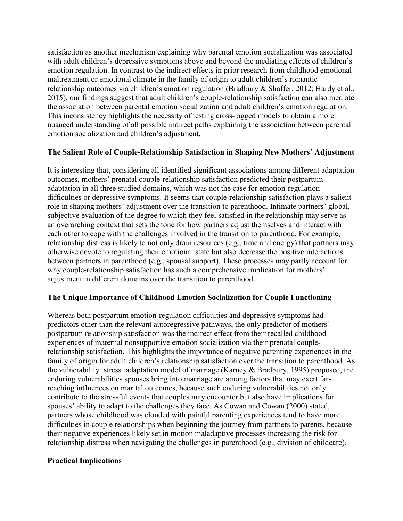satisfaction as another mechanism explaining why parental emotion socialization was associated with adult children's depressive symptoms above and beyond the mediating effects of children's emotion regulation. In contrast to the indirect effects in prior research from childhood emotional maltreatment or emotional climate in the family of origin to adult children's romantic relationship outcomes via children's emotion regulation (Bradbury & Shaffer, 2012; Hardy et al., 2015), our findings suggest that adult children's couple-relationship satisfaction can also mediate the association between parental emotion socialization and adult children's emotion regulation. This inconsistency highlights the necessity of testing cross-lagged models to obtain a more nuanced understanding of all possible indirect paths explaining the association between parental emotion socialization and children's adjustment.

# **The Salient Role of Couple-Relationship Satisfaction in Shaping New Mothers' Adjustment**

It is interesting that, considering all identified significant associations among different adaptation outcomes, mothers' prenatal couple-relationship satisfaction predicted their postpartum adaptation in all three studied domains, which was not the case for emotion-regulation difficulties or depressive symptoms. It seems that couple-relationship satisfaction plays a salient role in shaping mothers' adjustment over the transition to parenthood. Intimate partners' global, subjective evaluation of the degree to which they feel satisfied in the relationship may serve as an overarching context that sets the tone for how partners adjust themselves and interact with each other to cope with the challenges involved in the transition to parenthood. For example, relationship distress is likely to not only drain resources (e.g., time and energy) that partners may otherwise devote to regulating their emotional state but also decrease the positive interactions between partners in parenthood (e.g., spousal support). These processes may partly account for why couple-relationship satisfaction has such a comprehensive implication for mothers' adjustment in different domains over the transition to parenthood.

## **The Unique Importance of Childhood Emotion Socialization for Couple Functioning**

Whereas both postpartum emotion-regulation difficulties and depressive symptoms had predictors other than the relevant autoregressive pathways, the only predictor of mothers' postpartum relationship satisfaction was the indirect effect from their recalled childhood experiences of maternal nonsupportive emotion socialization via their prenatal couplerelationship satisfaction. This highlights the importance of negative parenting experiences in the family of origin for adult children's relationship satisfaction over the transition to parenthood. As the vulnerability−stress−adaptation model of marriage (Karney & Bradbury, 1995) proposed, the enduring vulnerabilities spouses bring into marriage are among factors that may exert farreaching influences on marital outcomes, because such enduring vulnerabilities not only contribute to the stressful events that couples may encounter but also have implications for spouses' ability to adapt to the challenges they face. As Cowan and Cowan (2000) stated, partners whose childhood was clouded with painful parenting experiences tend to have more difficulties in couple relationships when beginning the journey from partners to parents, because their negative experiences likely set in motion maladaptive processes increasing the risk for relationship distress when navigating the challenges in parenthood (e.g., division of childcare).

## **Practical Implications**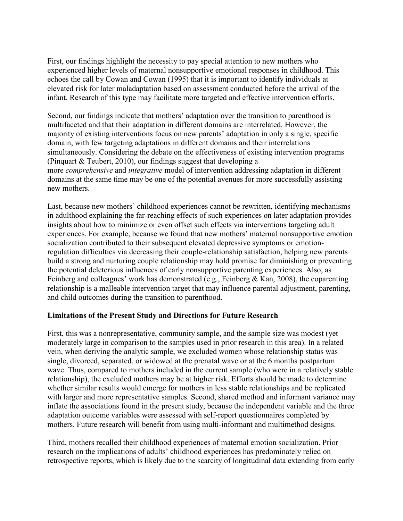First, our findings highlight the necessity to pay special attention to new mothers who experienced higher levels of maternal nonsupportive emotional responses in childhood. This echoes the call by Cowan and Cowan (1995) that it is important to identify individuals at elevated risk for later maladaptation based on assessment conducted before the arrival of the infant. Research of this type may facilitate more targeted and effective intervention efforts.

Second, our findings indicate that mothers' adaptation over the transition to parenthood is multifaceted and that their adaptation in different domains are interrelated. However, the majority of existing interventions focus on new parents' adaptation in only a single, specific domain, with few targeting adaptations in different domains and their interrelations simultaneously. Considering the debate on the effectiveness of existing intervention programs (Pinquart & Teubert, 2010), our findings suggest that developing a more *comprehensive* and *integrative* model of intervention addressing adaptation in different domains at the same time may be one of the potential avenues for more successfully assisting new mothers.

Last, because new mothers' childhood experiences cannot be rewritten, identifying mechanisms in adulthood explaining the far-reaching effects of such experiences on later adaptation provides insights about how to minimize or even offset such effects via interventions targeting adult experiences. For example, because we found that new mothers' maternal nonsupportive emotion socialization contributed to their subsequent elevated depressive symptoms or emotionregulation difficulties via decreasing their couple-relationship satisfaction, helping new parents build a strong and nurturing couple relationship may hold promise for diminishing or preventing the potential deleterious influences of early nonsupportive parenting experiences. Also, as Feinberg and colleagues' work has demonstrated (e.g., Feinberg & Kan, 2008), the coparenting relationship is a malleable intervention target that may influence parental adjustment, parenting, and child outcomes during the transition to parenthood.

## **Limitations of the Present Study and Directions for Future Research**

First, this was a nonrepresentative, community sample, and the sample size was modest (yet moderately large in comparison to the samples used in prior research in this area). In a related vein, when deriving the analytic sample, we excluded women whose relationship status was single, divorced, separated, or widowed at the prenatal wave or at the 6 months postpartum wave. Thus, compared to mothers included in the current sample (who were in a relatively stable relationship), the excluded mothers may be at higher risk. Efforts should be made to determine whether similar results would emerge for mothers in less stable relationships and be replicated with larger and more representative samples. Second, shared method and informant variance may inflate the associations found in the present study, because the independent variable and the three adaptation outcome variables were assessed with self-report questionnaires completed by mothers. Future research will benefit from using multi-informant and multimethod designs.

Third, mothers recalled their childhood experiences of maternal emotion socialization. Prior research on the implications of adults' childhood experiences has predominately relied on retrospective reports, which is likely due to the scarcity of longitudinal data extending from early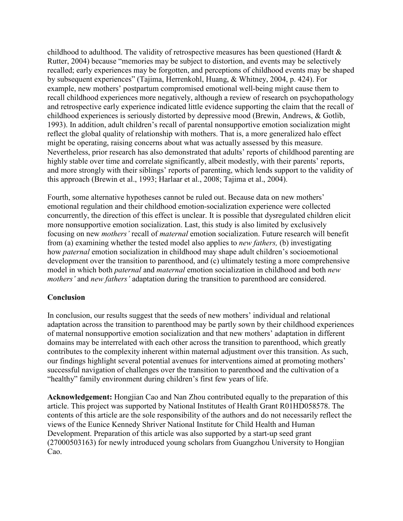childhood to adulthood. The validity of retrospective measures has been questioned (Hardt & Rutter, 2004) because "memories may be subject to distortion, and events may be selectively recalled; early experiences may be forgotten, and perceptions of childhood events may be shaped by subsequent experiences" (Tajima, Herrenkohl, Huang, & Whitney, 2004, p. 424). For example, new mothers' postpartum compromised emotional well-being might cause them to recall childhood experiences more negatively, although a review of research on psychopathology and retrospective early experience indicated little evidence supporting the claim that the recall of childhood experiences is seriously distorted by depressive mood (Brewin, Andrews, & Gotlib, 1993). In addition, adult children's recall of parental nonsupportive emotion socialization might reflect the global quality of relationship with mothers. That is, a more generalized halo effect might be operating, raising concerns about what was actually assessed by this measure. Nevertheless, prior research has also demonstrated that adults' reports of childhood parenting are highly stable over time and correlate significantly, albeit modestly, with their parents' reports, and more strongly with their siblings' reports of parenting, which lends support to the validity of this approach (Brewin et al., 1993; Harlaar et al., 2008; Tajima et al., 2004).

Fourth, some alternative hypotheses cannot be ruled out. Because data on new mothers' emotional regulation and their childhood emotion-socialization experience were collected concurrently, the direction of this effect is unclear. It is possible that dysregulated children elicit more nonsupportive emotion socialization. Last, this study is also limited by exclusively focusing on new *mothers'* recall of *maternal* emotion socialization. Future research will benefit from (a) examining whether the tested model also applies to *new fathers,* (b) investigating how *paternal* emotion socialization in childhood may shape adult children's socioemotional development over the transition to parenthood, and (c) ultimately testing a more comprehensive model in which both *paternal* and *maternal* emotion socialization in childhood and both *new mothers'* and *new fathers'* adaptation during the transition to parenthood are considered.

# **Conclusion**

In conclusion, our results suggest that the seeds of new mothers' individual and relational adaptation across the transition to parenthood may be partly sown by their childhood experiences of maternal nonsupportive emotion socialization and that new mothers' adaptation in different domains may be interrelated with each other across the transition to parenthood, which greatly contributes to the complexity inherent within maternal adjustment over this transition. As such, our findings highlight several potential avenues for interventions aimed at promoting mothers' successful navigation of challenges over the transition to parenthood and the cultivation of a "healthy" family environment during children's first few years of life.

**Acknowledgement:** Hongjian Cao and Nan Zhou contributed equally to the preparation of this article. This project was supported by National Institutes of Health Grant R01HD058578. The contents of this article are the sole responsibility of the authors and do not necessarily reflect the views of the Eunice Kennedy Shriver National Institute for Child Health and Human Development. Preparation of this article was also supported by a start-up seed grant (27000503163) for newly introduced young scholars from Guangzhou University to Hongjian Cao.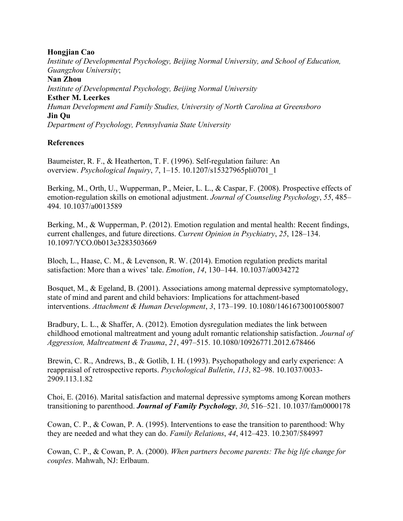## **Hongjian Cao**

*Institute of Developmental Psychology, Beijing Normal University, and School of Education, Guangzhou University*; **Nan Zhou** *Institute of Developmental Psychology, Beijing Normal University* **Esther M. Leerkes** *Human Development and Family Studies, University of North Carolina at Greensboro* **Jin Qu**

*Department of Psychology, Pennsylvania State University*

# **References**

Baumeister, R. F., & Heatherton, T. F. (1996). Self-regulation failure: An overview. *Psychological Inquiry*, *7*, 1–15. 10.1207/s15327965pli0701\_1

Berking, M., Orth, U., Wupperman, P., Meier, L. L., & Caspar, F. (2008). Prospective effects of emotion-regulation skills on emotional adjustment. *Journal of Counseling Psychology*, *55*, 485– 494. 10.1037/a0013589

Berking, M., & Wupperman, P. (2012). Emotion regulation and mental health: Recent findings, current challenges, and future directions. *Current Opinion in Psychiatry*, *25*, 128–134. 10.1097/YCO.0b013e3283503669

Bloch, L., Haase, C. M., & Levenson, R. W. (2014). Emotion regulation predicts marital satisfaction: More than a wives' tale. *Emotion*, *14*, 130–144. 10.1037/a0034272

Bosquet, M., & Egeland, B. (2001). Associations among maternal depressive symptomatology, state of mind and parent and child behaviors: Implications for attachment-based interventions. *Attachment & Human Development*, *3*, 173–199. 10.1080/14616730010058007

Bradbury, L. L., & Shaffer, A. (2012). Emotion dysregulation mediates the link between childhood emotional maltreatment and young adult romantic relationship satisfaction. *Journal of Aggression, Maltreatment & Trauma*, *21*, 497–515. 10.1080/10926771.2012.678466

Brewin, C. R., Andrews, B., & Gotlib, I. H. (1993). Psychopathology and early experience: A reappraisal of retrospective reports. *Psychological Bulletin*, *113*, 82–98. 10.1037/0033- 2909.113.1.82

Choi, E. (2016). Marital satisfaction and maternal depressive symptoms among Korean mothers transitioning to parenthood. *Journal of Family Psychology*, *30*, 516–521. 10.1037/fam0000178

Cowan, C. P., & Cowan, P. A. (1995). Interventions to ease the transition to parenthood: Why they are needed and what they can do. *Family Relations*, *44*, 412–423. 10.2307/584997

Cowan, C. P., & Cowan, P. A. (2000). *When partners become parents: The big life change for couples*. Mahwah, NJ: Erlbaum.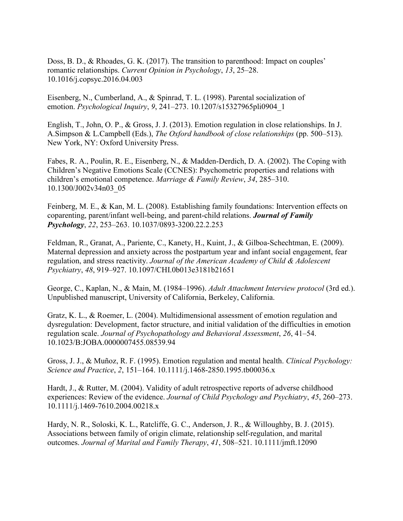Doss, B. D., & Rhoades, G. K. (2017). The transition to parenthood: Impact on couples' romantic relationships. *Current Opinion in Psychology*, *13*, 25–28. 10.1016/j.copsyc.2016.04.003

Eisenberg, N., Cumberland, A., & Spinrad, T. L. (1998). Parental socialization of emotion. *Psychological Inquiry*, *9*, 241–273. 10.1207/s15327965pli0904\_1

English, T., John, O. P., & Gross, J. J. (2013). Emotion regulation in close relationships. In J. A.Simpson & L.Campbell (Eds.), *The Oxford handbook of close relationships* (pp. 500–513). New York, NY: Oxford University Press.

Fabes, R. A., Poulin, R. E., Eisenberg, N., & Madden-Derdich, D. A. (2002). The Coping with Children's Negative Emotions Scale (CCNES): Psychometric properties and relations with children's emotional competence. *Marriage & Family Review*, *34*, 285–310. 10.1300/J002v34n03\_05

Feinberg, M. E., & Kan, M. L. (2008). Establishing family foundations: Intervention effects on coparenting, parent/infant well-being, and parent-child relations. *Journal of Family Psychology*, *22*, 253–263. 10.1037/0893-3200.22.2.253

Feldman, R., Granat, A., Pariente, C., Kanety, H., Kuint, J., & Gilboa-Schechtman, E. (2009). Maternal depression and anxiety across the postpartum year and infant social engagement, fear regulation, and stress reactivity. *Journal of the American Academy of Child & Adolescent Psychiatry*, *48*, 919–927. 10.1097/CHI.0b013e3181b21651

George, C., Kaplan, N., & Main, M. (1984–1996). *Adult Attachment Interview protocol* (3rd ed.). Unpublished manuscript, University of California, Berkeley, California.

Gratz, K. L., & Roemer, L. (2004). Multidimensional assessment of emotion regulation and dysregulation: Development, factor structure, and initial validation of the difficulties in emotion regulation scale. *Journal of Psychopathology and Behavioral Assessment*, *26*, 41–54. 10.1023/B:JOBA.0000007455.08539.94

Gross, J. J., & Muñoz, R. F. (1995). Emotion regulation and mental health. *Clinical Psychology: Science and Practice*, *2*, 151–164. 10.1111/j.1468-2850.1995.tb00036.x

Hardt, J., & Rutter, M. (2004). Validity of adult retrospective reports of adverse childhood experiences: Review of the evidence. *Journal of Child Psychology and Psychiatry*, *45*, 260–273. 10.1111/j.1469-7610.2004.00218.x

Hardy, N. R., Soloski, K. L., Ratcliffe, G. C., Anderson, J. R., & Willoughby, B. J. (2015). Associations between family of origin climate, relationship self-regulation, and marital outcomes. *Journal of Marital and Family Therapy*, *41*, 508–521. 10.1111/jmft.12090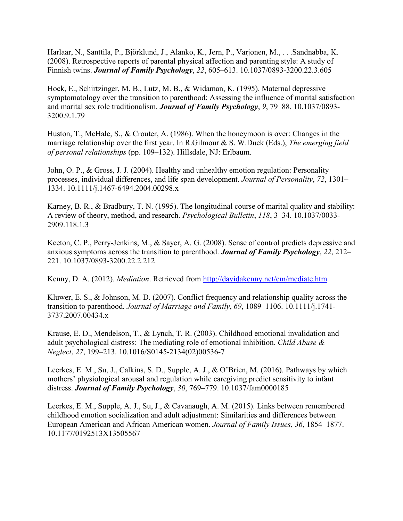Harlaar, N., Santtila, P., Björklund, J., Alanko, K., Jern, P., Varjonen, M., . . .Sandnabba, K. (2008). Retrospective reports of parental physical affection and parenting style: A study of Finnish twins. *Journal of Family Psychology*, *22*, 605–613. 10.1037/0893-3200.22.3.605

Hock, E., Schirtzinger, M. B., Lutz, M. B., & Widaman, K. (1995). Maternal depressive symptomatology over the transition to parenthood: Assessing the influence of marital satisfaction and marital sex role traditionalism. *Journal of Family Psychology*, *9*, 79–88. 10.1037/0893- 3200.9.1.79

Huston, T., McHale, S., & Crouter, A. (1986). When the honeymoon is over: Changes in the marriage relationship over the first year. In R.Gilmour & S. W.Duck (Eds.), *The emerging field of personal relationships* (pp. 109–132). Hillsdale, NJ: Erlbaum.

John, O. P., & Gross, J. J. (2004). Healthy and unhealthy emotion regulation: Personality processes, individual differences, and life span development. *Journal of Personality*, *72*, 1301– 1334. 10.1111/j.1467-6494.2004.00298.x

Karney, B. R., & Bradbury, T. N. (1995). The longitudinal course of marital quality and stability: A review of theory, method, and research. *Psychological Bulletin*, *118*, 3–34. 10.1037/0033- 2909.118.1.3

Keeton, C. P., Perry-Jenkins, M., & Sayer, A. G. (2008). Sense of control predicts depressive and anxious symptoms across the transition to parenthood. *Journal of Family Psychology*, *22*, 212– 221. 10.1037/0893-3200.22.2.212

Kenny, D. A. (2012). *Mediation*. Retrieved from <http://davidakenny.net/cm/mediate.htm>

Kluwer, E. S., & Johnson, M. D. (2007). Conflict frequency and relationship quality across the transition to parenthood. *Journal of Marriage and Family*, *69*, 1089–1106. 10.1111/j.1741- 3737.2007.00434.x

Krause, E. D., Mendelson, T., & Lynch, T. R. (2003). Childhood emotional invalidation and adult psychological distress: The mediating role of emotional inhibition. *Child Abuse & Neglect*, *27*, 199–213. 10.1016/S0145-2134(02)00536-7

Leerkes, E. M., Su, J., Calkins, S. D., Supple, A. J., & O'Brien, M. (2016). Pathways by which mothers' physiological arousal and regulation while caregiving predict sensitivity to infant distress. *Journal of Family Psychology*, *30*, 769–779. 10.1037/fam0000185

Leerkes, E. M., Supple, A. J., Su, J., & Cavanaugh, A. M. (2015). Links between remembered childhood emotion socialization and adult adjustment: Similarities and differences between European American and African American women. *Journal of Family Issues*, *36*, 1854–1877. 10.1177/0192513X13505567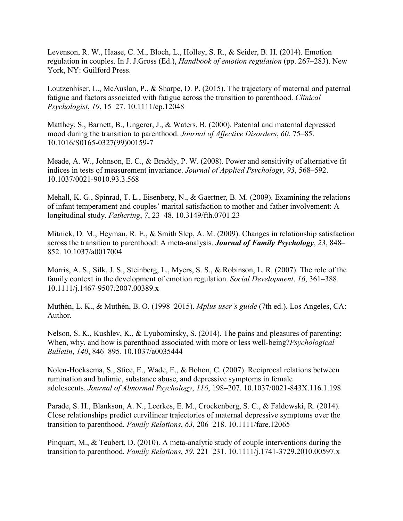Levenson, R. W., Haase, C. M., Bloch, L., Holley, S. R., & Seider, B. H. (2014). Emotion regulation in couples. In J. J.Gross (Ed.), *Handbook of emotion regulation* (pp. 267–283). New York, NY: Guilford Press.

Loutzenhiser, L., McAuslan, P., & Sharpe, D. P. (2015). The trajectory of maternal and paternal fatigue and factors associated with fatigue across the transition to parenthood. *Clinical Psychologist*, *19*, 15–27. 10.1111/cp.12048

Matthey, S., Barnett, B., Ungerer, J., & Waters, B. (2000). Paternal and maternal depressed mood during the transition to parenthood. *Journal of Affective Disorders*, *60*, 75–85. 10.1016/S0165-0327(99)00159-7

Meade, A. W., Johnson, E. C., & Braddy, P. W. (2008). Power and sensitivity of alternative fit indices in tests of measurement invariance. *Journal of Applied Psychology*, *93*, 568–592. 10.1037/0021-9010.93.3.568

Mehall, K. G., Spinrad, T. L., Eisenberg, N., & Gaertner, B. M. (2009). Examining the relations of infant temperament and couples' marital satisfaction to mother and father involvement: A longitudinal study. *Fathering*, *7*, 23–48. 10.3149/fth.0701.23

Mitnick, D. M., Heyman, R. E., & Smith Slep, A. M. (2009). Changes in relationship satisfaction across the transition to parenthood: A meta-analysis. *Journal of Family Psychology*, *23*, 848– 852. 10.1037/a0017004

Morris, A. S., Silk, J. S., Steinberg, L., Myers, S. S., & Robinson, L. R. (2007). The role of the family context in the development of emotion regulation. *Social Development*, *16*, 361–388. 10.1111/j.1467-9507.2007.00389.x

Muthén, L. K., & Muthén, B. O. (1998–2015). *Mplus user's guide* (7th ed.). Los Angeles, CA: Author.

Nelson, S. K., Kushlev, K., & Lyubomirsky, S. (2014). The pains and pleasures of parenting: When, why, and how is parenthood associated with more or less well-being?*Psychological Bulletin*, *140*, 846–895. 10.1037/a0035444

Nolen-Hoeksema, S., Stice, E., Wade, E., & Bohon, C. (2007). Reciprocal relations between rumination and bulimic, substance abuse, and depressive symptoms in female adolescents. *Journal of Abnormal Psychology*, *116*, 198–207. 10.1037/0021-843X.116.1.198

Parade, S. H., Blankson, A. N., Leerkes, E. M., Crockenberg, S. C., & Faldowski, R. (2014). Close relationships predict curvilinear trajectories of maternal depressive symptoms over the transition to parenthood. *Family Relations*, *63*, 206–218. 10.1111/fare.12065

Pinquart, M., & Teubert, D. (2010). A meta-analytic study of couple interventions during the transition to parenthood. *Family Relations*, *59*, 221–231. 10.1111/j.1741-3729.2010.00597.x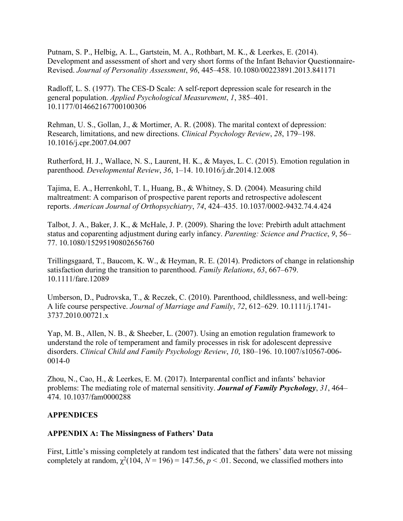Putnam, S. P., Helbig, A. L., Gartstein, M. A., Rothbart, M. K., & Leerkes, E. (2014). Development and assessment of short and very short forms of the Infant Behavior Questionnaire-Revised. *Journal of Personality Assessment*, *96*, 445–458. 10.1080/00223891.2013.841171

Radloff, L. S. (1977). The CES-D Scale: A self-report depression scale for research in the general population. *Applied Psychological Measurement*, *1*, 385–401. 10.1177/014662167700100306

Rehman, U. S., Gollan, J., & Mortimer, A. R. (2008). The marital context of depression: Research, limitations, and new directions. *Clinical Psychology Review*, *28*, 179–198. 10.1016/j.cpr.2007.04.007

Rutherford, H. J., Wallace, N. S., Laurent, H. K., & Mayes, L. C. (2015). Emotion regulation in parenthood. *Developmental Review*, *36*, 1–14. 10.1016/j.dr.2014.12.008

Tajima, E. A., Herrenkohl, T. I., Huang, B., & Whitney, S. D. (2004). Measuring child maltreatment: A comparison of prospective parent reports and retrospective adolescent reports. *American Journal of Orthopsychiatry*, *74*, 424–435. 10.1037/0002-9432.74.4.424

Talbot, J. A., Baker, J. K., & McHale, J. P. (2009). Sharing the love: Prebirth adult attachment status and coparenting adjustment during early infancy. *Parenting: Science and Practice*, *9*, 56– 77. 10.1080/15295190802656760

Trillingsgaard, T., Baucom, K. W., & Heyman, R. E. (2014). Predictors of change in relationship satisfaction during the transition to parenthood. *Family Relations*, *63*, 667–679. 10.1111/fare.12089

Umberson, D., Pudrovska, T., & Reczek, C. (2010). Parenthood, childlessness, and well-being: A life course perspective. *Journal of Marriage and Family*, *72*, 612–629. 10.1111/j.1741- 3737.2010.00721.x

Yap, M. B., Allen, N. B., & Sheeber, L. (2007). Using an emotion regulation framework to understand the role of temperament and family processes in risk for adolescent depressive disorders. *Clinical Child and Family Psychology Review*, *10*, 180–196. 10.1007/s10567-006- 0014-0

Zhou, N., Cao, H., & Leerkes, E. M. (2017). Interparental conflict and infants' behavior problems: The mediating role of maternal sensitivity. *Journal of Family Psychology*, *31*, 464– 474. 10.1037/fam0000288

# **APPENDICES**

# **APPENDIX A: The Missingness of Fathers' Data**

First, Little's missing completely at random test indicated that the fathers' data were not missing completely at random,  $\chi^2(104, N = 196) = 147.56, p < .01$ . Second, we classified mothers into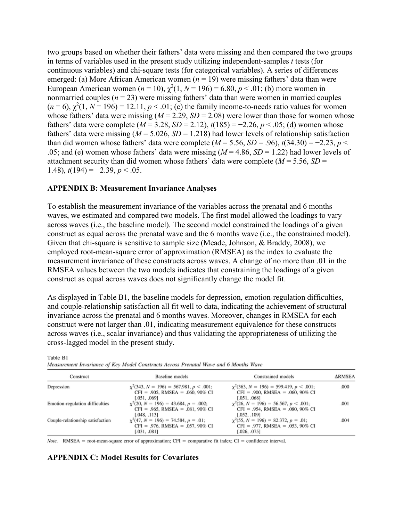two groups based on whether their fathers' data were missing and then compared the two groups in terms of variables used in the present study utilizing independent-samples *t* tests (for continuous variables) and chi-square tests (for categorical variables). A series of differences emerged: (a) More African American women ( $n = 19$ ) were missing fathers' data than were European American women  $(n = 10)$ ,  $\chi^2(1, N = 196) = 6.80, p < .01$ ; (b) more women in nonmarried couples  $(n = 23)$  were missing fathers' data than were women in married couples  $(n = 6)$ ,  $\chi^2(1, N = 196) = 12.11$ ,  $p < .01$ ; (c) the family income-to-needs ratio values for women whose fathers' data were missing  $(M = 2.29, SD = 2.08)$  were lower than those for women whose fathers' data were complete ( $M = 3.28$ ,  $SD = 2.12$ ),  $t(185) = -2.26$ ,  $p < .05$ ; (d) women whose fathers' data were missing  $(M = 5.026, SD = 1.218)$  had lower levels of relationship satisfaction than did women whose fathers' data were complete ( $M = 5.56$ ,  $SD = .96$ ),  $t(34.30) = -2.23$ ,  $p <$ .05; and (e) women whose fathers' data were missing  $(M = 4.86, SD = 1.22)$  had lower levels of attachment security than did women whose fathers' data were complete ( $M = 5.56$ ,  $SD =$ 1.48),  $t(194) = -2.39$ ,  $p < .05$ .

#### **APPENDIX B: Measurement Invariance Analyses**

To establish the measurement invariance of the variables across the prenatal and 6 months waves, we estimated and compared two models. The first model allowed the loadings to vary across waves (i.e., the baseline model). The second model constrained the loadings of a given construct as equal across the prenatal wave and the 6 months wave (i.e., the constrained model**)**. Given that chi-square is sensitive to sample size (Meade, Johnson, & Braddy, 2008), we employed root-mean-square error of approximation (RMSEA) as the index to evaluate the measurement invariance of these constructs across waves. A change of no more than .01 in the RMSEA values between the two models indicates that constraining the loadings of a given construct as equal across waves does not significantly change the model fit.

As displayed in Table B1, the baseline models for depression, emotion-regulation difficulties, and couple-relationship satisfaction all fit well to data, indicating the achievement of structural invariance across the prenatal and 6 months waves. Moreover, changes in RMSEA for each construct were not larger than .01, indicating measurement equivalence for these constructs across waves (i.e., scalar invariance) and thus validating the appropriateness of utilizing the cross-lagged model in the present study.

| Construct                        | Baseline models                                                                                                  | Constrained models                                                                                            | $\Delta$ RMSEA |
|----------------------------------|------------------------------------------------------------------------------------------------------------------|---------------------------------------------------------------------------------------------------------------|----------------|
| Depression                       | $\chi^2$ (343, N = 196) = 567.981, p < .001;<br>$CFI = .905$ , RMSEA = .060, 90% CI                              | $\chi^2$ (363, N = 196) = 599.419, p < .001;<br>$CFI = .900$ , RMSEA = .060, 90% CI                           | .000           |
| Emotion-regulation difficulties  | [.051, .069]<br>$x^2(20, N = 196) = 43.684, p = .002$ ;<br>$CFI = .965$ , RMSEA = .081, 90% CI                   | [.051, .068]<br>$x^2(26, N = 196) = 56.567, p < .001$ ;<br>$CFI = .954$ , RMSEA = .080, 90% CI                | .001           |
| Couple-relationship satisfaction | [.048, .113]<br>$\chi^2$ (47, N = 196) = 74.584, p = .01;<br>$CFI = .976$ , RMSEA = .057, 90% CI<br>[.031, .081] | [.052, .109]<br>$x^2$ (55, N = 196) = 82.372, p = .01;<br>$CFI = .977$ , RMSEA = .053, 90% CI<br>[.026, .075] | .004           |

Table B1

Measurement Invariance of Key Model Constructs Across Prenatal Wave and 6 Months Wave

Note. RMSEA = root-mean-square error of approximation; CFI = comparative fit index; CI = confidence interval.

## **APPENDIX C: Model Results for Covariates**